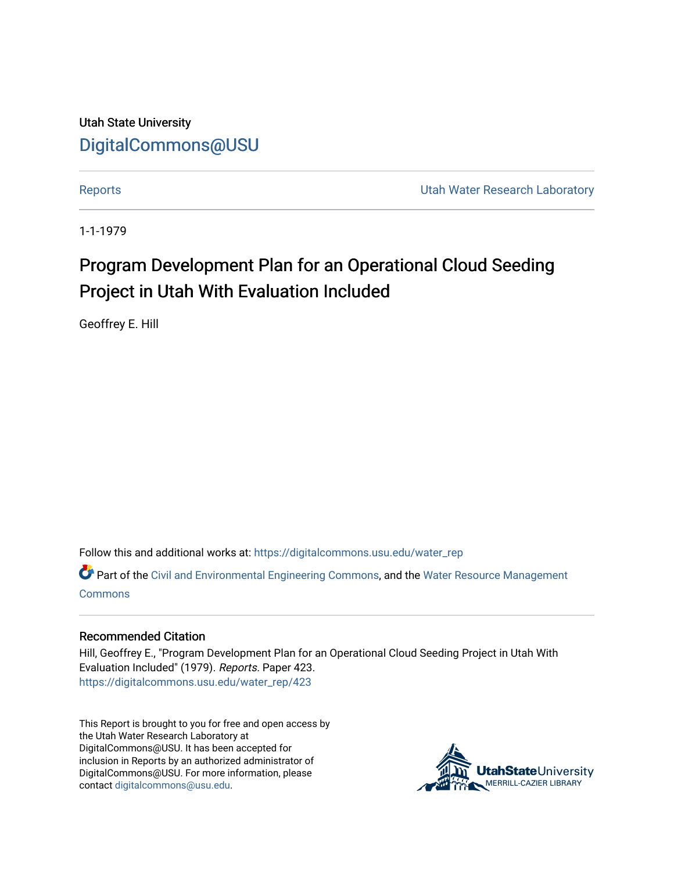Utah State University [DigitalCommons@USU](https://digitalcommons.usu.edu/)

[Reports](https://digitalcommons.usu.edu/water_rep) **Exercise Exercise Exercise Exercise Contract Contract Contract Contract Contract Contract Contract Contract Contract Contract Contract Contract Contract Contract Contract Contract Contract Contract Contract Contra** 

1-1-1979

# Program Development Plan for an Operational Cloud Seeding Project in Utah With Evaluation Included

Geoffrey E. Hill

Follow this and additional works at: [https://digitalcommons.usu.edu/water\\_rep](https://digitalcommons.usu.edu/water_rep?utm_source=digitalcommons.usu.edu%2Fwater_rep%2F423&utm_medium=PDF&utm_campaign=PDFCoverPages) 

Part of the [Civil and Environmental Engineering Commons](http://network.bepress.com/hgg/discipline/251?utm_source=digitalcommons.usu.edu%2Fwater_rep%2F423&utm_medium=PDF&utm_campaign=PDFCoverPages), and the [Water Resource Management](http://network.bepress.com/hgg/discipline/1057?utm_source=digitalcommons.usu.edu%2Fwater_rep%2F423&utm_medium=PDF&utm_campaign=PDFCoverPages) **[Commons](http://network.bepress.com/hgg/discipline/1057?utm_source=digitalcommons.usu.edu%2Fwater_rep%2F423&utm_medium=PDF&utm_campaign=PDFCoverPages)** 

# Recommended Citation

Hill, Geoffrey E., "Program Development Plan for an Operational Cloud Seeding Project in Utah With Evaluation Included" (1979). Reports. Paper 423. [https://digitalcommons.usu.edu/water\\_rep/423](https://digitalcommons.usu.edu/water_rep/423?utm_source=digitalcommons.usu.edu%2Fwater_rep%2F423&utm_medium=PDF&utm_campaign=PDFCoverPages)

This Report is brought to you for free and open access by the Utah Water Research Laboratory at DigitalCommons@USU. It has been accepted for inclusion in Reports by an authorized administrator of DigitalCommons@USU. For more information, please contact [digitalcommons@usu.edu](mailto:digitalcommons@usu.edu).

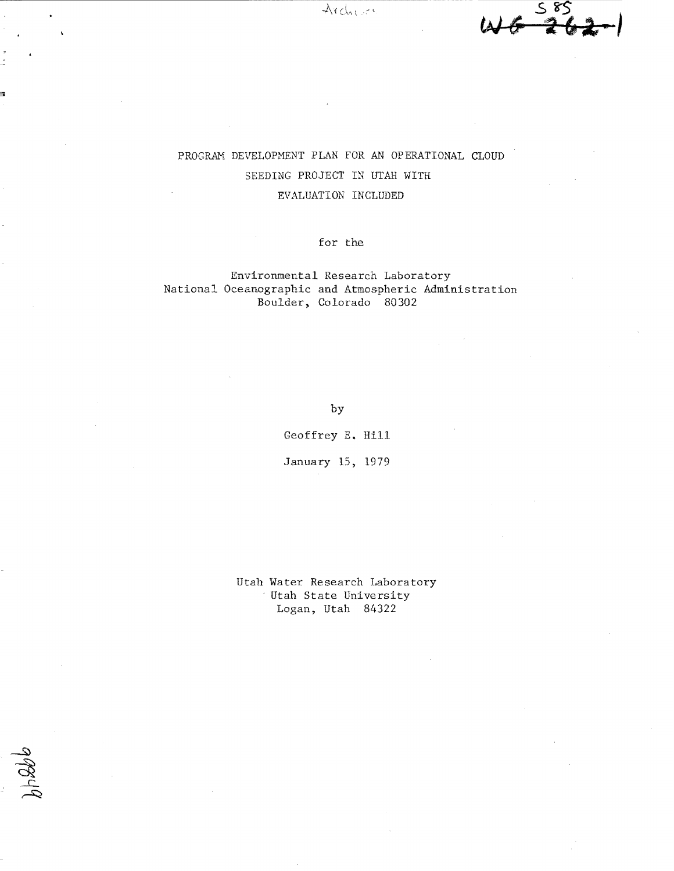

# PROGRAM DEVELOPMENT PLAN FOR AN OPERATIONAL CLOUD SEEDING PROJECT IN UTAH WITH EVALUATION INCLUDED

for the

# Environmental Research Laboratory National Oceanographic and Atmospheric Administration Boulder, Colorado 80302

by

Geoffrey E. Hill

January 15, 1979

Utah Water Research Laboratory , Utah State University Logan, Utah 84322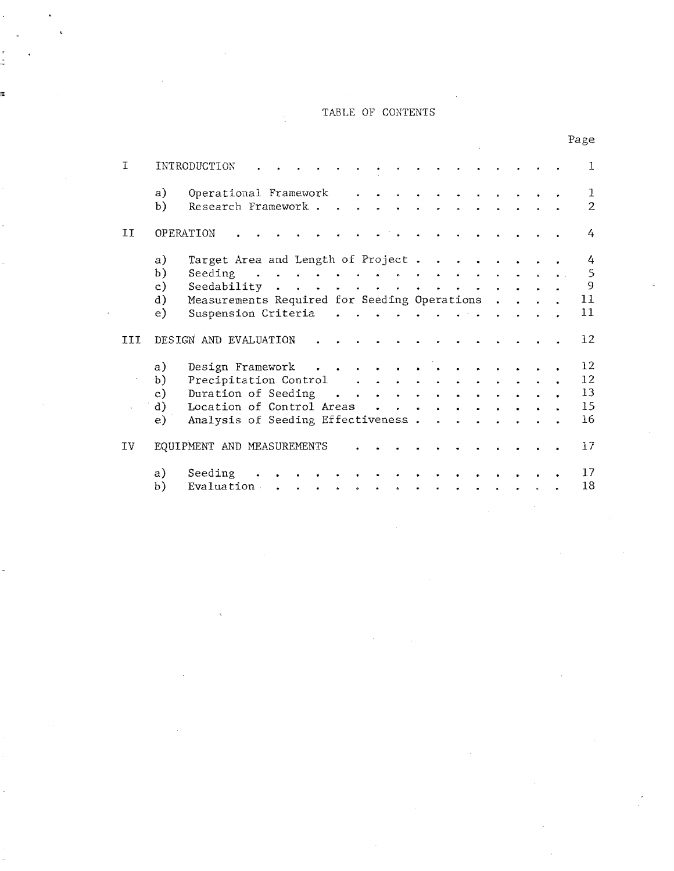# TABLE OF CONTENTS

ŀ,

ś,

Page

| T   |                | INTRODUCTION                                                                                                                                                                                                              |  |  | 1                              |
|-----|----------------|---------------------------------------------------------------------------------------------------------------------------------------------------------------------------------------------------------------------------|--|--|--------------------------------|
|     | a)<br>b)       | Operational Framework<br>Research Framework.                                                                                                                                                                              |  |  | $\mathbf{1}$<br>$\overline{2}$ |
| IJ  |                | OPERATION                                                                                                                                                                                                                 |  |  | 4                              |
|     | a)             | Target Area and Length of Project.<br>$\bullet$<br>$\sim$ 100 $\pm$                                                                                                                                                       |  |  | 4                              |
|     | b)<br>c)       | Seeding<br>$\ddot{\phantom{a}}$<br>$\ddot{\phantom{a}}$<br>$\mathbf{r}$<br>$\bullet$<br>Seedability<br>$\mathbf{r} = \mathbf{r} - \mathbf{r} = \mathbf{r}$<br>$\ddot{\phantom{a}}$<br>$\bullet$<br>$\bullet$<br>$\bullet$ |  |  | 5<br>9                         |
|     | $\mathrm{d}$ ) | Measurements Required for Seeding Operations                                                                                                                                                                              |  |  | 11                             |
|     | e)             | Suspension Criteria<br>$\mathbf{r}$ , $\mathbf{r}$ , $\mathbf{r}$ , $\mathbf{r}$ , $\mathbf{r}$                                                                                                                           |  |  | 11                             |
| III |                | DESIGN AND EVALUATION                                                                                                                                                                                                     |  |  | 12                             |
|     | a)             | Design Framework<br>$\bullet$<br>$\sim$ 100 $\pm$                                                                                                                                                                         |  |  | 12 <sub>1</sub>                |
|     | b)             | Precipitation Control<br>$\mathbf{z} = \mathbf{z} + \mathbf{z}$ . The $\mathbf{z}$<br>$\sim$<br>$\bullet$<br>$\sim$ $\sim$<br>$\bullet$                                                                                   |  |  | 12                             |
|     | c)             | Duration of Seeding<br>$\mathbf{r}$<br>$\sim$<br>$\sim$<br>$\sim$                                                                                                                                                         |  |  | 13                             |
|     | d)             | Location of Control Areas                                                                                                                                                                                                 |  |  | 15                             |
|     | e)             | Analysis of Seeding Effectiveness.                                                                                                                                                                                        |  |  | 16                             |
| IV  |                | EQUIPMENT AND MEASUREMENTS                                                                                                                                                                                                |  |  | 77                             |
|     | a)             | Seeding                                                                                                                                                                                                                   |  |  | 17                             |
|     | b)             | Evaluation                                                                                                                                                                                                                |  |  | 18                             |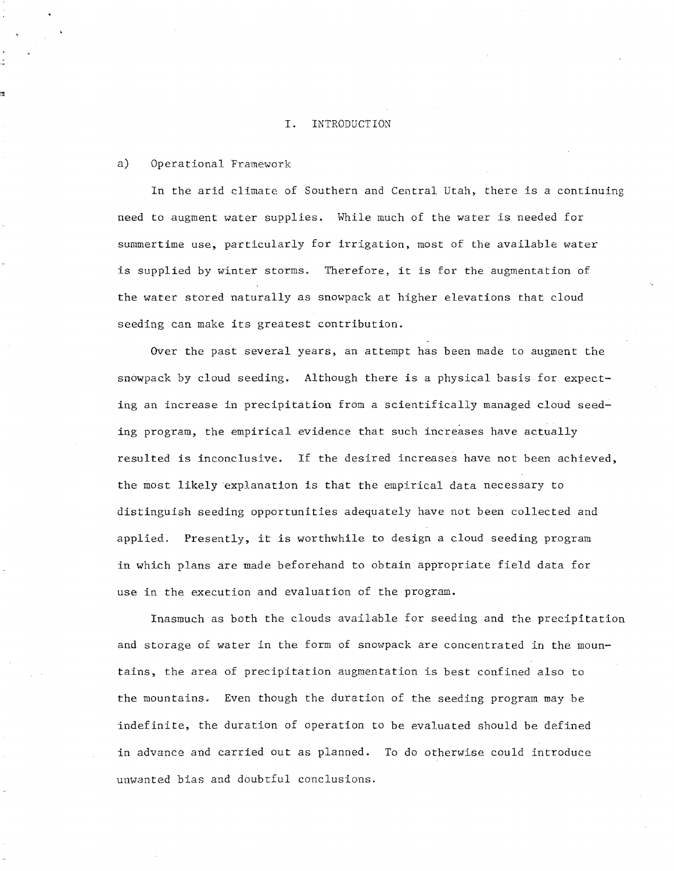# I. INTRODUCTION

### a) Operational Framework

In the arid climate of Southern and Central Utah, there is a continuing need to augment water supplies. While much of the water is needed for summertime use, particularly for irrigation, most of the available water is supplied by winter storms. Therefore, it is for the augmentation of the water stored naturally as snowpack at higher elevations that cloud seeding can make its greatest contribution.

Over the past several years, an attempt has been made to augment the snowpack by cloud seeding. Although there is a physical basis for expecting an increase in precipitation from a scientifically managed cloud seeding program, the empirical evidence that such increases have actually resulted is inconclusive. If the desired increases have not been achieved, the most likely explanation is that the empirical data necessary to distinguish seeding opportunities adequately have not been collected and applied. Presently, it is worthwhile to design a cloud seeding program in which plans are made beforehand to obtain appropriate field data for use in the execution and evaluation of the program.

Inasmuch as both the clouds available for seeding and the precipitation and storage of water in the form of snowpack are concentrated in the mountains, the area of precipitation augmentation is best confined also to the mountains. Even though the duration of the seeding program may be indefinite, the duration of operation to be evaluated should be defined in advance and carried out as planned. To do otherwise could introduce unwanted bias and doubtful conclusions.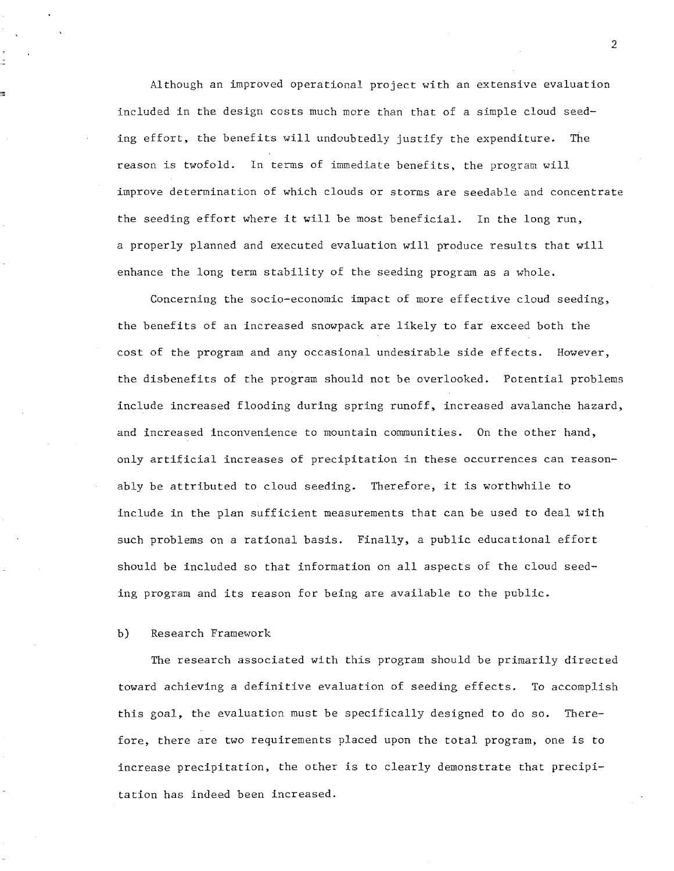Although an improved operational project with an extensive evaluation included in the design costs much more than that of a simple cloud seeding effort, the benefits will undoubtedly justify the expenditure. The reason is twofold. In terms of immediate benefits, the program will improve determination of which clouds or storms are seedable and concentrate the seeding effort where it will be most beneficial. In the long run, a properly planned and executed evaluation will produce results that will enhance the long term stability of the seeding program as a whole.

Concerning the socio-economic impact of more effective cloud seeding, the benefits of an increased snowpack are likely to far exceed both the cost of the program and any occasional undesirable side effects. However, the disbenefits of the program should not be overlooked. Potential problems include increased flooding during spring runoff, increased avalanche hazard, and increased inconvenience to mountain communities. On the other hand, only artificial increases of precipitation in these occurrences can reasonably be attributed to cloud seeding. Therefore. it is worthwhile to include in the plan sufficient measurements that can be used to deal with such problems on a rational basis. Finally, a public educational effort should be included so that information on all aspects of the cloud seeding program and its reason for being are available to the public.

# **b)** Research Framework

The research associated with this program should be primarily directed toward achieving a definitive evaluation of seeding effects. To accomplish this goal, the evaluation must be specifically designed to do so. Therefore, there are two requirements placed upon the total program, one is to increase precipitation, the other is to clearly demonstrate that precipitation has indeed been increased.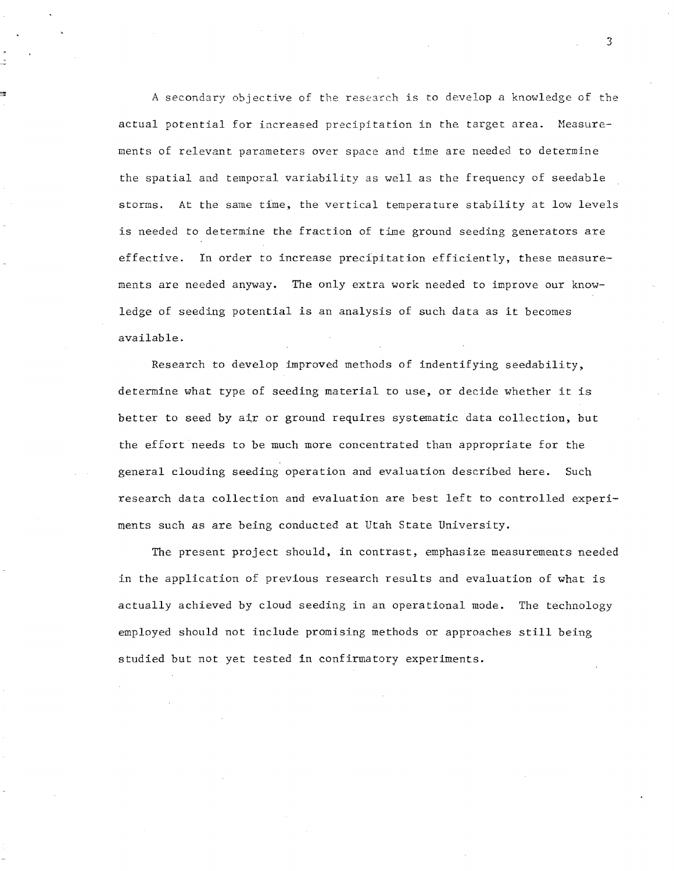A secondary objective of the research is to develop a knowledge of the actual potential for increased precipitation in the target area. Measurements of relevant parameters over space and time are needed to determine the spatial and temporal variability as well as the frequency of seedable storms. At the same time, the vertical temperature stability at low levels is needed to determine the fraction of time ground seeding generators are effective. In order to increase precipitation efficiently, these measurements are needed anyway. The only extra work needed to improve our knowledge of seeding potential is an analysis of such data as it becomes available.

Research to develop improved methods of indentifying seedability, determine what type of seeding material to use, or decide whether it is better to seed by air or ground requires systematic data collection, but the effort needs to be much more concentrated than appropriate for the general clouding seeding operation and evaluation described here. Such research data collection and evaluation are best left to controlled experiments such as are being conducted at Utah State University.

The present project should, in contrast, emphasize measurements needed in the application of previous research results and evaluation of what is actually achieved by cloud seeding in an operational mode. The technology employed should not include promising methods or approaches still being studied but not yet tested in confirmatory experiments.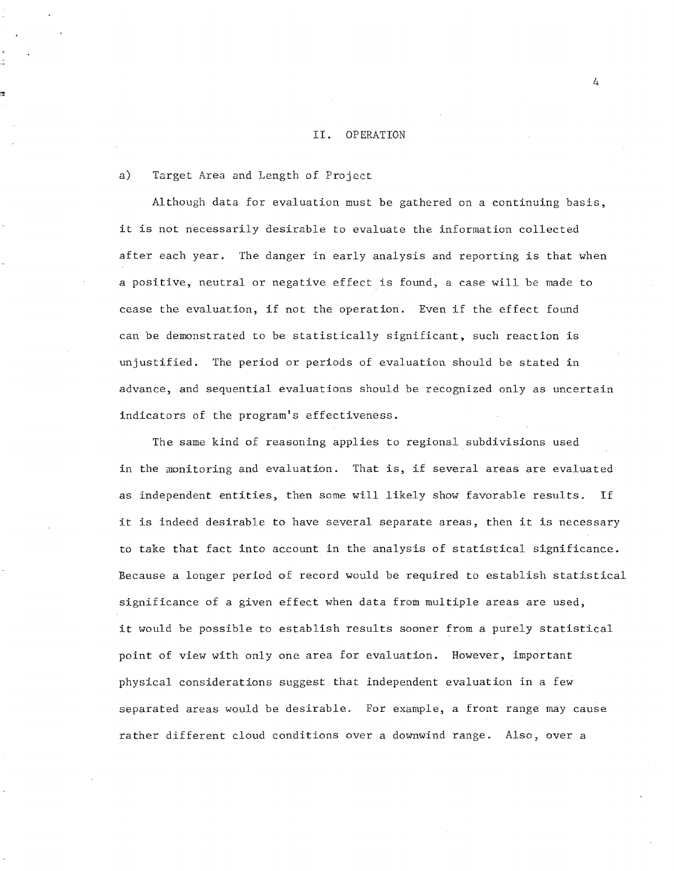# II. OPERATION

# a) Target Area and Length of Project

Although data for evaluation must be gathered on a continuing basis, it is not necessarily desirable to evaluate the information collected after each year. The danger in early analysis and reporting is that when a positive, neutral or negative effect is found, a case will be made to cease the evaluation, if not the operation. Even if the effect found can be demonstrated to be statistically significant, such reaction is unjustified. The period or periods of evaluation should be stated in advance, and sequential evaluations should be recognized only as uncertain indicators of the program's effectiveness.

The same kind of reasoning applies to regional subdivisions used in the monitoring and evaluation. That is, if several areas are evaluated as independent entities, then some will likely show favorable results. If it is indeed desirable to have several separate areas, then it is necessary to take that fact into account in the analysis of statistical significance. Because a longer period of record would be required to establish statistical significance of a given effect when data from multiple areas are used, it would be possible to establish results sooner from a purely statistical point of view with only one area for evaluation. However, important physical considerations suggest that independent evaluation in a few separated areas would be desirable. For example, a front range may cause rather different cloud conditions over a downwind range. Also, over a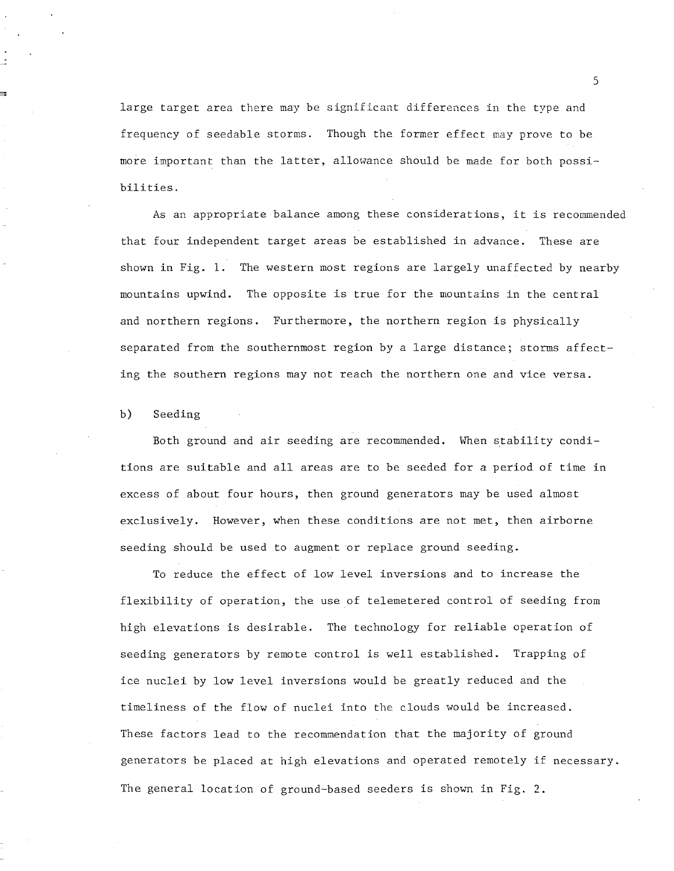large target area there may be significant differences in the type and frequency of seedable storms. Though the former effect may prove to be more important than the latter, allowance should be made for both possibilities.

As an appropriate balance among these considerations, it is recommended that four independent target areas be established in advance. These are shown in Fig. **1.** The western most regions are largely unaffected by nearby mountains upwind. The opposite is true for the mountains in the central and northern regions. Furthermore, the northern region is physically separated from the southernmost region by a large distance; storms affecting the southern regions may not reach the northern one and vice versa.

b) Seeding

Both ground and air seeding are recommended. Hhen stability conditions are suitable and all areas are to be seeded for a period of time in excess of about four hours, then ground generators may be used almost exclusively. However, when these conditions are not met, then airborne seeding should be used to augment or replace ground seeding.

To reduce the effect of low level inversions and to increase the flexibility of operation, the use of telemetered control of seeding from high elevations is desirable. The technology for reliable operation of seeding generators by remote control is well established. Trapping of ice nuclei by low level inversions would be greatly reduced and the timeliness of the flow of nuclei into the clouds would be increased. These factors lead to the recommendation that the majority of ground generators be placed at high elevations and operated remotely if necessary. The general location of ground-based seeders is shown in Fig. **2.**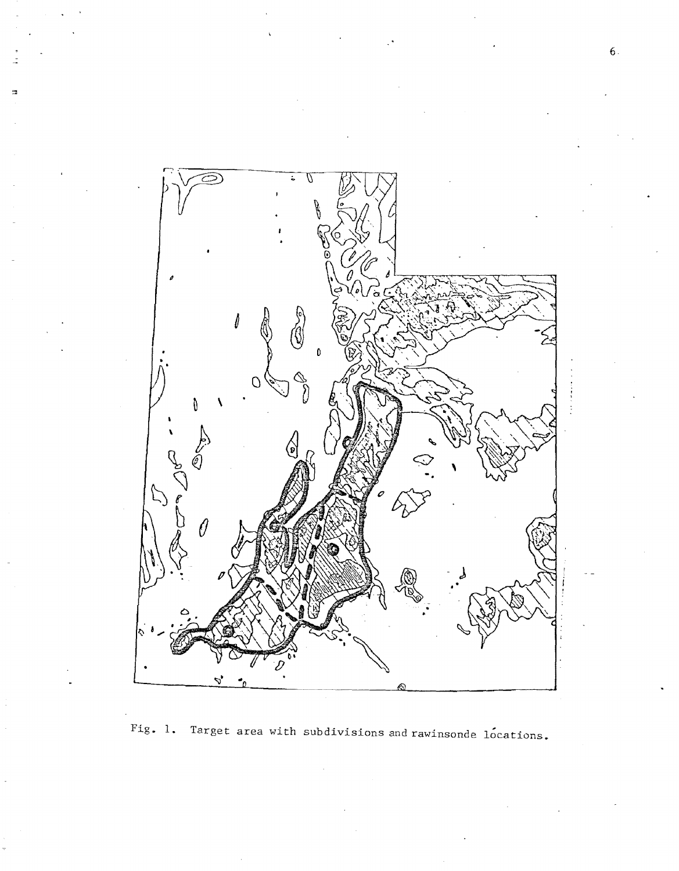

Fig. 1. Target area with subdivisions and rawinsonde locations.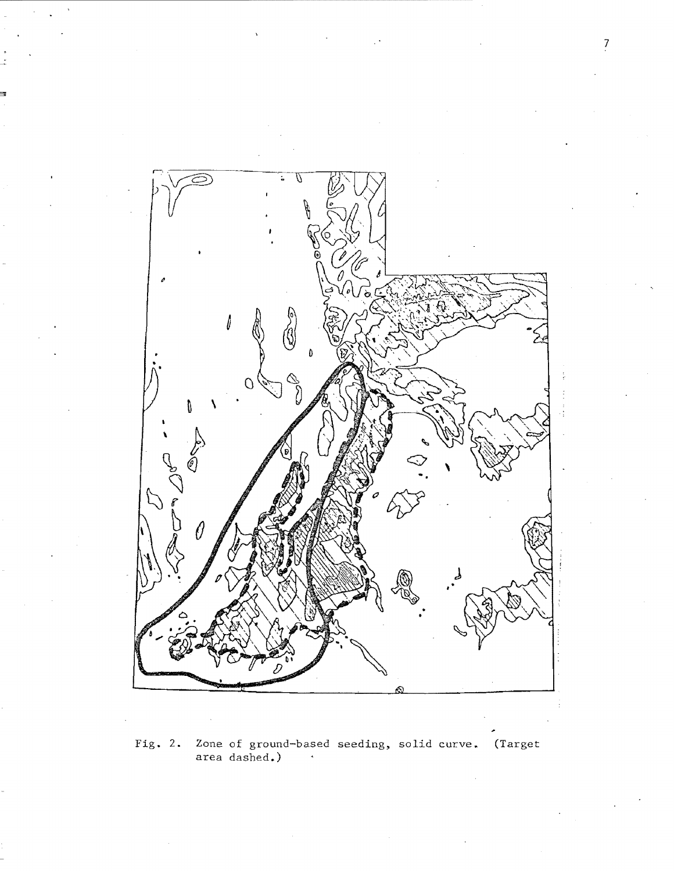

**Fig. 2.** Zone of ground-based area dashed.) , solid curve. (Target

7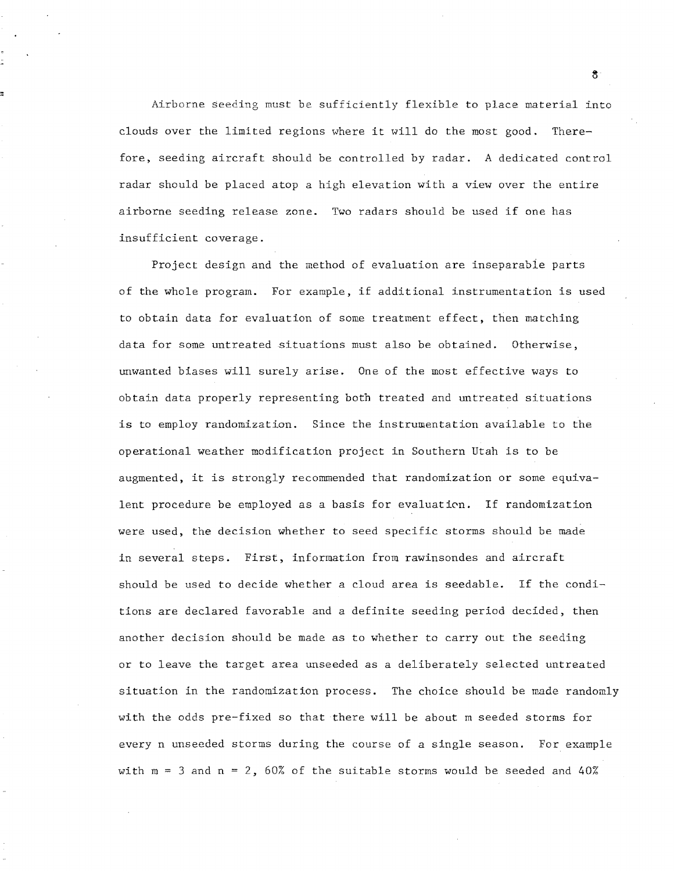Airborne seeding must be sufficiently flexible to place material into clouds over the limited regions where it will do the most good. Therefore, seeding aircraft should be controlled by radar. A dedicated control radar should be placed atop a high elevation with a view over the entire airborne seeding release zone. Two radars should be used if one has insufficient coverage.

Project design and the method of evaluation are inseparabie parts of the whole program. For example, if additional instrumentation is used to obtain data for evaluation of some treatment effect, then matching data for some untreated situations must also be obtained. Otherwise, unwanted biases will surely arise. One of the most effective ways to obtain data properly representing both treated and untreated situations is to employ randomization. Since the instrumentation available to the operational weather modification project in Southern Utah is to be augmented, it is strongly recommended that randomization or some equivalent procedure be employed as a basis for evaluation. If randomization were used, the decision whether to seed specific storms should be made in several steps. First, information from rawinsondes and aircraft should be used to decide whether a cloud area is seedable. If the conditions are declared favorable and a definite seeding period decided, then another decision should be made as to whether to carry out the seeding or to leave the target area unseeded as a deliberately selected untreated situation in the randomization process. The choice should be made randomly with the odds pre-fixed so that there will be about m seeded storms for every n unseeded storms during the course of a single season. For example with  $m = 3$  and  $n = 2$ , 60% of the suitable storms would be seeded and 40%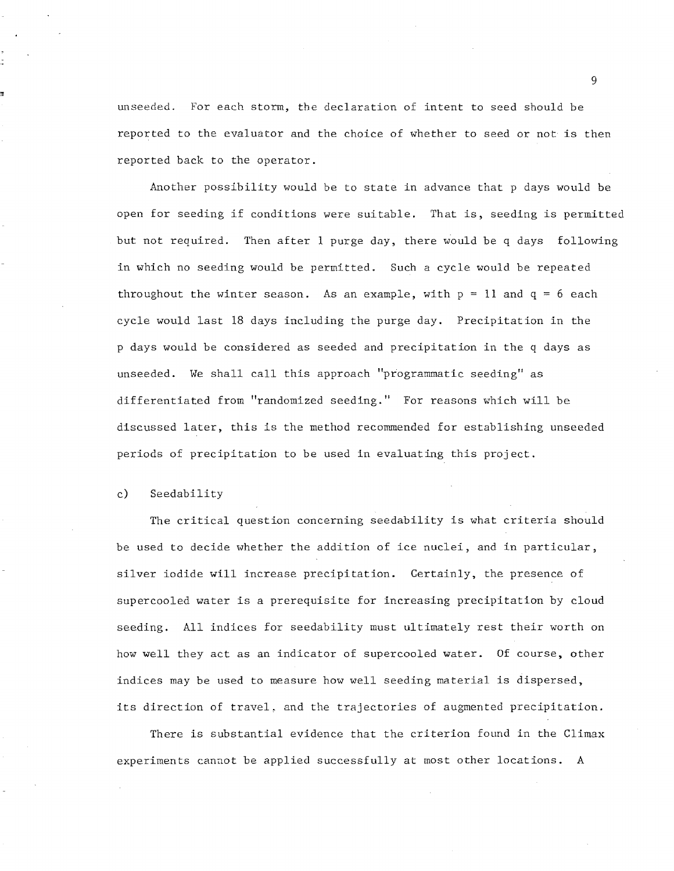unseeded. For each storm, the declaration of intent to seed should be reported to the evaluator and the choice of whether to seed or not is then reported back to the operator.

Another possibility would be to state in advance that p days would be open for seeding if conditions were suitable. That is, seeding is permitted but not required. Then after 1 purge day, there would be q days following in which no seeding would be permitted. Such a cycle would be repeated throughout the winter season. As an example, with  $p = 11$  and  $q = 6$  each cycle would last 18 days including the purge day. Precipitation in the p days would be considered as seeded and precipitation in the q days as unseeded. We shall call this approach "programmatic seeding" as differentiated from "randomized seeding." For reasons which will be discussed later, this is the method recommended for establishing unseeded periods of precipitation to be used in evaluating this project.

#### c) Seedability

The critical question concerning seedability is what criteria should be used to decide whether the addition of ice nuclei, and in particular, silver iodide will increase precipitation. Certainly, the presence of supercooled water is a prerequisite for increasing precipitation by cloud seeding. All indices for seedability must ultimately rest their worth on how well they act as an indicator of supercooled water. Of course, other indices may be used to measure how well seeding material is dispersed, its direction of travel, and the trajectories of augmented precipitation.

There is substantial evidence that the criterion found in the Climax experiments cannot be applied successfully at most other locations. A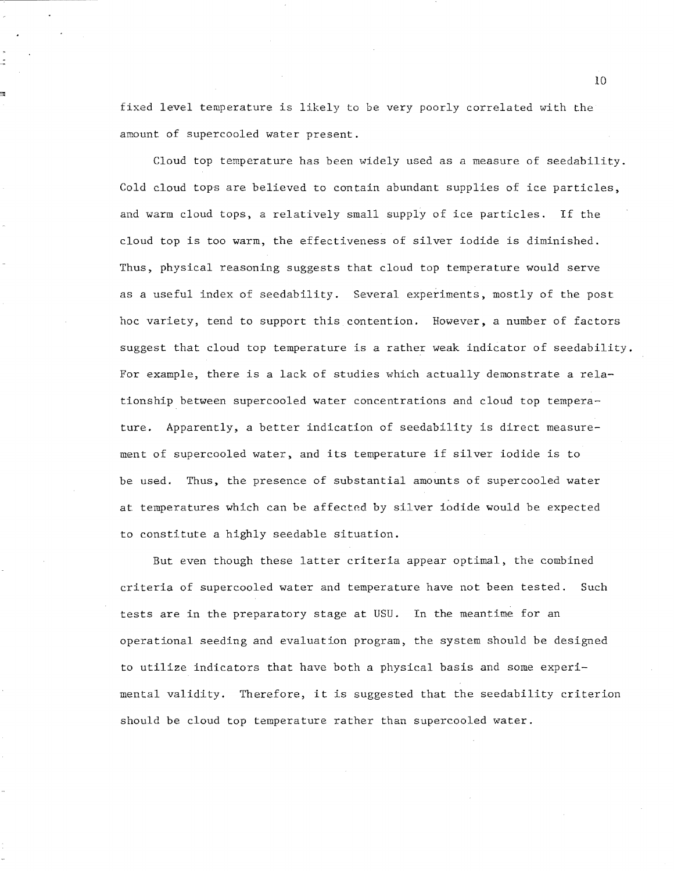fixed level temperature is likely to be very poorly correlated with the amount of supercooled water present.

Cloud top temperature has been widely used as a measure of seedability. Cold cloud tops are believed to contain abundant supplies of ice particles, and warm cloud tops, a relatively small supply of ice particles. If the cloud top is too warm, the effectiveness of silver iodide is diminished. Thus, physical reasoning suggests that cloud top temperature would serve as a useful index of seedability. Several experiments, mostly of the post hoc variety, tend to support this contention. However, a number of factors suggest that cloud top temperature is a rather weak indicator of seedability. For example, there is a lack of studies which actually demonstrate a relationship between supercooled water concentrations and cloud top temperature. Apparently, a better indication of seedability is direct measurement of supercooled water, and its temperature if silver iodide is to be used. Thus, the presence of substantial amounts of supercooled water at temperatures which can be affected by silver iodide would be expected to constitute a highly seedable situation.

But even though these latter criteria appear optimal, the combined criteria of supercooled water and temperature have not been tested. Such tests are in the preparatory stage at USU. In the meantime for an operational seeding and evaluation program, the system should be designed to utilize indicators that have both a physical basis and some experimental validity. Therefore, it is suggested that the seedability criterion should be cloud top temperature rather than supercooled water.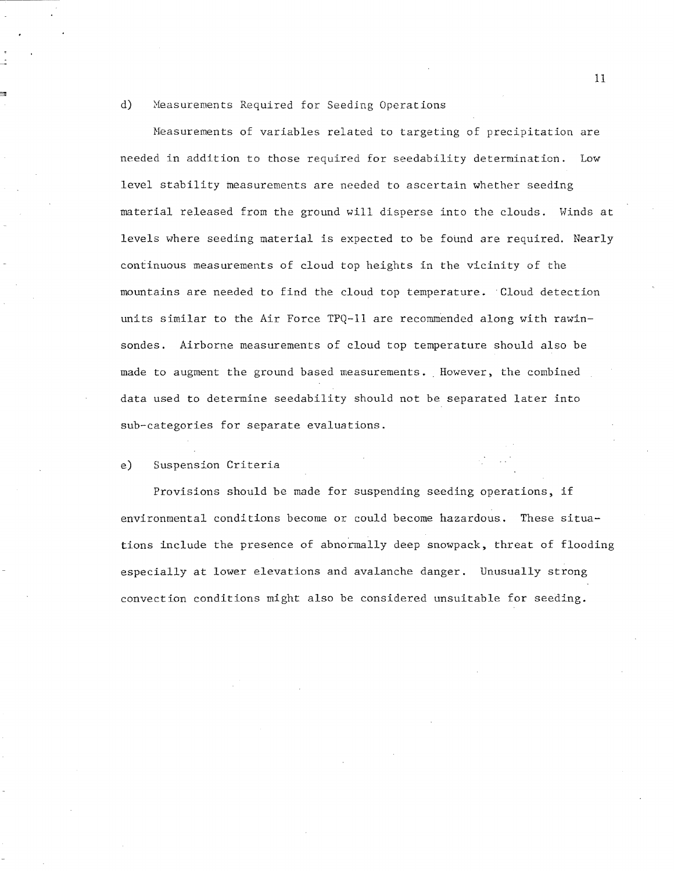# d) Measurements Required for Seeding Operations

Heasurements of variables related to targeting of precipitation are needed in addition to those required for seedability determination. Low level stability measurements are needed to ascertain whether seeding material released from the ground will disperse into the clouds. Hinds at levels where seeding material is expected to be found are required. Nearly continuous measurements of cloud top heights in the vicinity of the mountains are needed to find the cloud top temperature. Cloud detection units similar to the Air Force TPQ-ll are recommended along with rawinsondes. Airborne measurements of cloud top temperature should also be made to augment the ground based measurements •. However. the combined data used to determine seedability should not be separated later into sub-categories for separate evaluations.

# e) Suspension Criteria

Provisions should be made for suspending seeding operations. if environmental conditions become or could become hazardous. These situations include the presence of abnormally deep snowpack, threat of flooding especially at lower elevations and avalanche danger. Unusually strong convection conditions might also be considered unsuitable for seeding.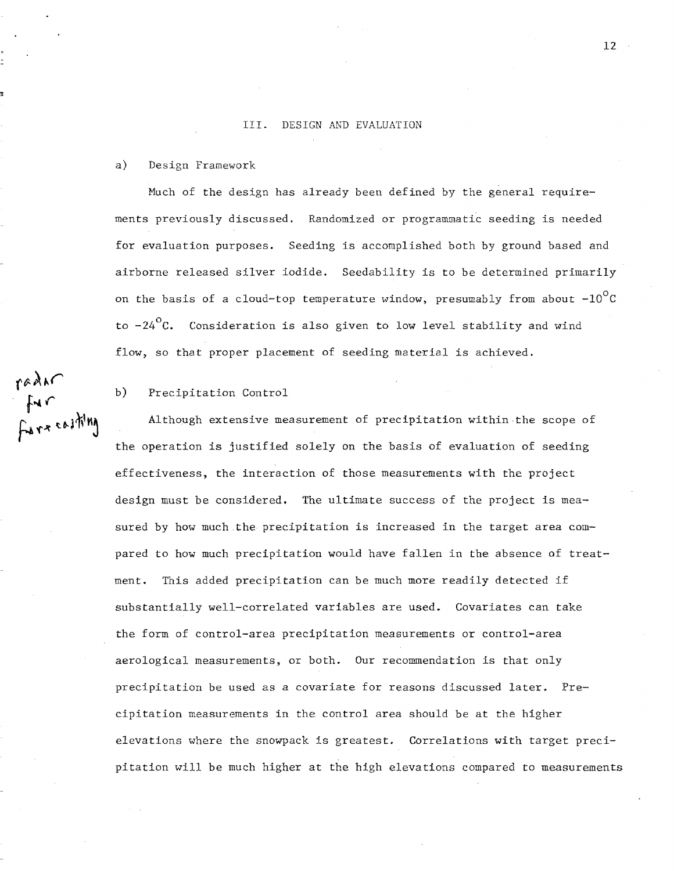#### III. DESIGN AND EVALUATION

## a) Design Framework

Much of the design has already been defined by the general requirements previously discussed. Randomized or programmatic seeding is needed for evaluation purposes. Seeding is accomplished both by ground based and airborne released silver iodide. Seedability is to be determined primarily on the basis of a cloud-top temperature window, presumably from about  $-10^{\circ}$ C to  $-24\degree$ C. Consideration is also given to low level stability and wind flow, so that proper placement of seeding material is achieved.

b) Precipitation Control

Although extensive measurement of precipitation within the scope of the operation is justified solely on the basis of evaluation of seeding effectiveness, the interaction of those measurements with the project design must be considered. The ultimate success of the project is measured by how much.the precipitation is increased in the target area compared to how much precipitation would have fallen in the absence of treatment. This added precipitation can be much more readily detected if substantially well-correlated variables are used. Covariates can take the form of control-area precipitation measurements or control-area aerological measurements, or both. Our recommendation is that only precipitation be used as a covariate for reasons discussed later. Precipitation measurements in the control area should be at the higher elevations where the snowpack is greatest. Correlations with target precipitation will be much higher at the high elevations compared to measurements

radar, . **f'''** *r*   $F_{4}$ rz co $1$ <sup>n'n</sup>]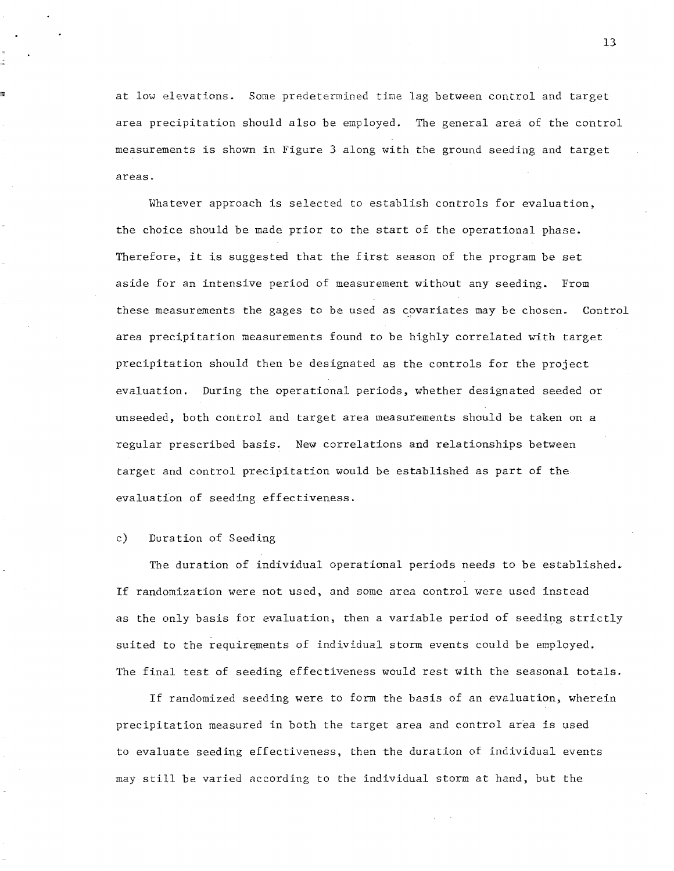at low elevations. Some predetermined time lag between control and target area precipitation should also be employed. The general area of the control measurements is shown in Figure 3 along with the ground seeding and target areas.

Whatever approach is selected to establish controls for evaluation, the choice should be made prior to the start of the operational phase. Therefore, it is suggested that the first season of the program be set aside for an intensive period of measurement without any seeding. From these measurements the gages to be used as covariates may be chosen. Control area precipitation measurements found to be highly correlated with target precipitation should then be designated as the controls for the project evaluation. During the operational periods, whether designated seeded or unseeded, both control and target area measurements should be taken on a regular prescribed basis. New correlations and relationships between target and control precipitation would be established as part of the evaluation of seeding effectiveness.

# c) Duration of Seeding

The duration of individual operational periods needs to be established. If randomization were not used, and some area control were used instead as the only basis for evaluation, then a variable period of seeding strictly suited to the requirements of individual storm events could be employed. The final test of seeding effectiveness would rest with the seasonal totals.

If randomized seeding were to form the basis of an evaluation, wherein precipitation measured in both the target area and control area is used to evaluate seeding effectiveness, then the duration of individual events may still be varied according to the individual storm at hand, but the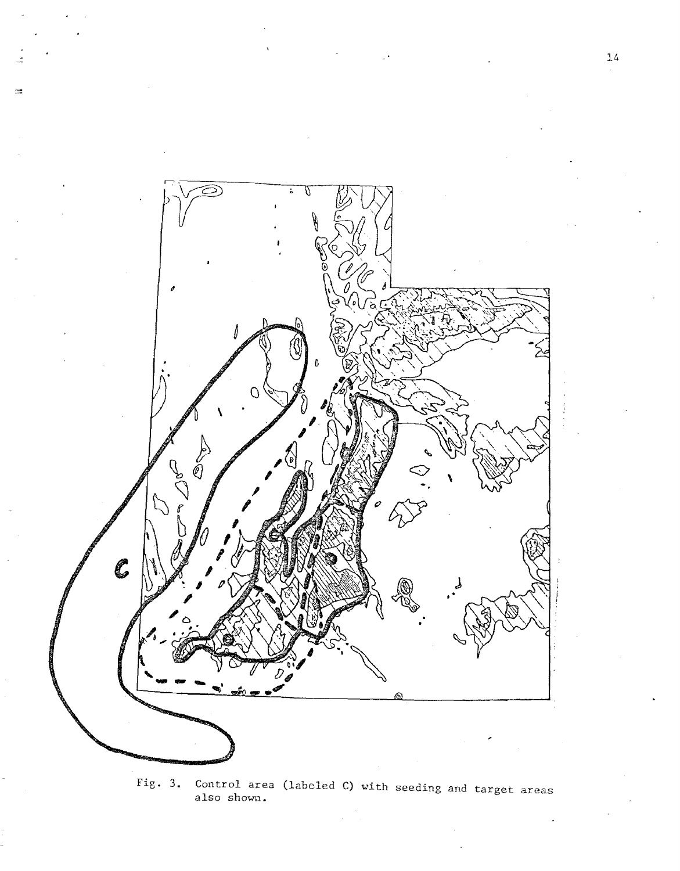

 $\frac{1}{2}$ 

Fig. 3. Control area (labeled C) with seeding and target areas also shown.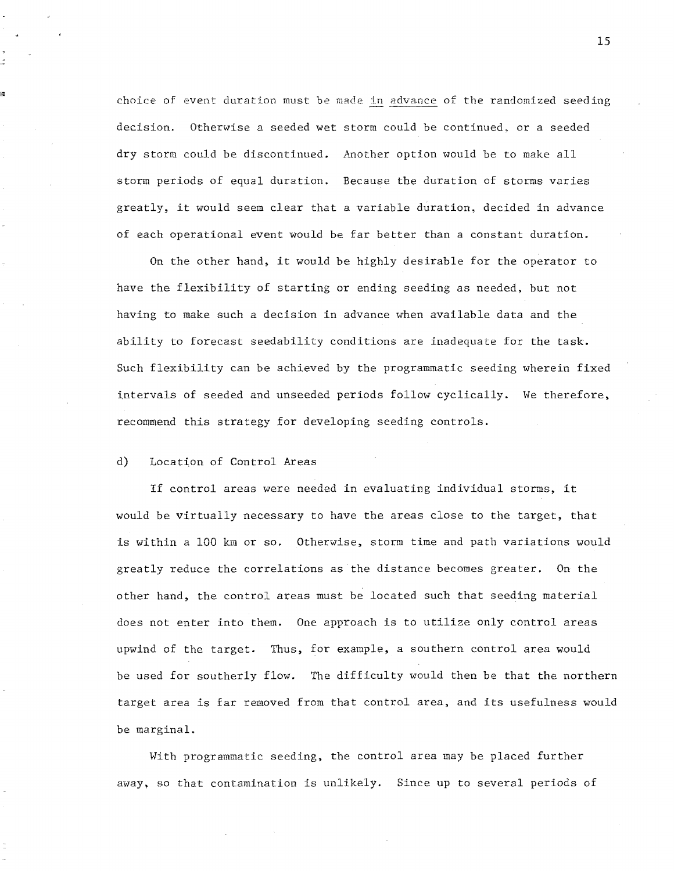choice of event duration must be made in advance of the randomized seeding decision. Otherwise a seeded wet storm could be continued, or a seeded dry storm could be discontinued. Another option would be to make all storm periods of equal duration. Because the duration of storms varies greatly, it would seem clear that a variable duration, decided in advance of each operational event would be far better than a constant duration.

On the other hand, it would be highly desirable for the operator to have the flexibility of starting or ending seeding as needed, but not having to make such a decision in advance when available data and the ability to forecast seedability conditions are inadequate for the task. Such flexibility can be achieved by the programmatic seeding wherein fixed intervals of seeded and unseeded periods follow cyclically. We therefore, recommend this strategy for developing seeding controls.

# d) Location of Control Areas

If control areas were needed in evaluating individual storms, it would be virtually necessary to have the areas close to the target, that is within a 100 km or so. Otherwise, storm time and path variations would greatly reduce the correlations as the distance becomes greater. On the other hand, the control areas must be located such that seeding material does not enter into them. One approach is to utilize only control areas upwind of the target. Thus, for example, a southern control area would be used for southerly flow. The difficulty would then be that the northern target area is far removed from that control area, and its usefulness would be marginal.

With programmatic seeding. the control area may be placed further away, so that contamination is unlikely. Since up to several periods of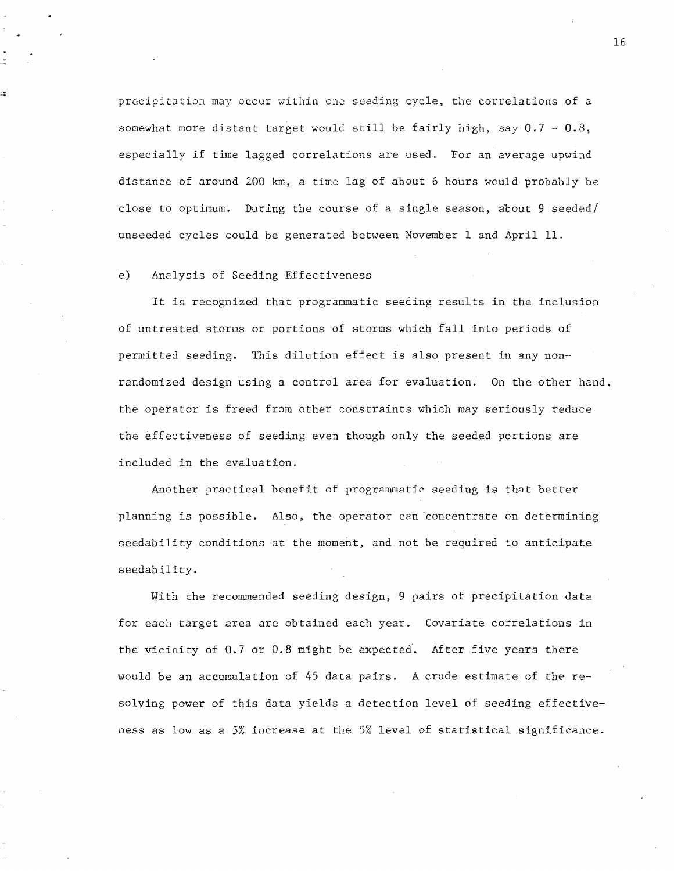precipitation may occur within one seeding cycle, the correlations of a somewhat more distant target would still be fairly high, say  $0.7 - 0.8$ , especially if time lagged correlations are used. For an average upwind distance of around 200 km, a time lag of about 6 hours would probably be close to optimum. During the course of a single season, about  $9$  seeded/ unseeded cycles could be generated between November 1 and April 11.

# e) Analysis of Seeding Effectiveness

It is recognized that programmatic seeding results in the inclusion of untreated storms or portions of storms which fall into periods of permitted seeding. This dilution effect is also present in any nonrandomized design using a control area for evaluation. On the other hand. the operator is freed from other constraints which may seriously reduce the effectiveness of seeding even though only the seeded portions are included in the evaluation.

Another practical benefit of programmatic seeding is that better planning is possible. Also, the operator can concentrate on determining seedability conditions at the moment, and not be required to anticipate seedability.

With the recommended seeding design, 9 pairs of precipitation data for each target area are obtained each year. Covariate correlations in the vicinity of 0.7 or 0.8 might be expected. After five years there would be an accumulation of 45 data pairs. A crude estimate of the resolving power of this data yields a detection level of seeding effectiveness as low as a 5% increase at the 5% level of statistical significance.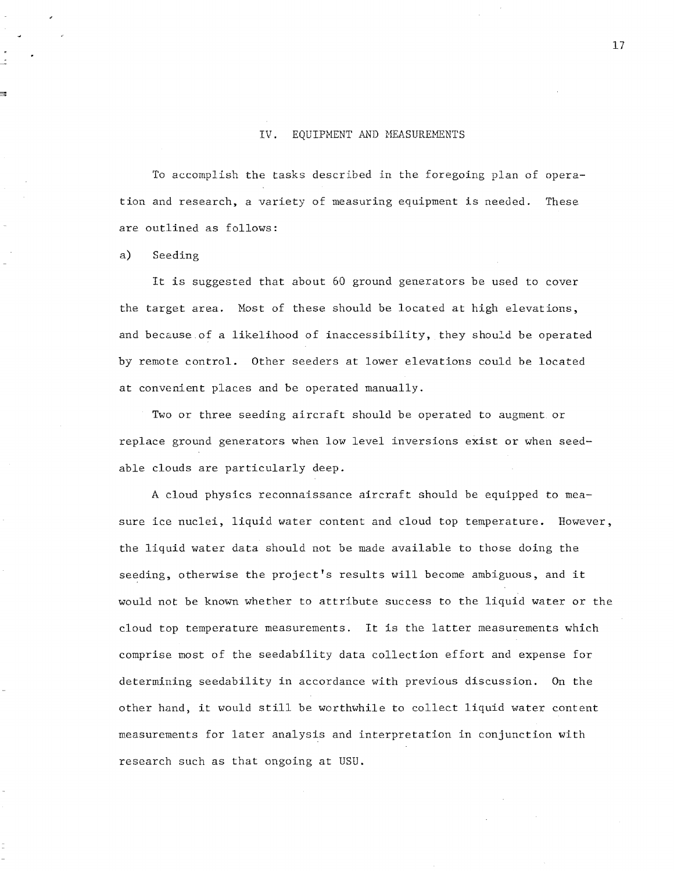# IV. EQUIPMENT AND MEASUREMENTS

To accomplish the tasks described in the foregoing plan of operation and research, a variety of measuring equipment is needed. These are outlined as follows:

a) Seeding

It is suggested that about 60 ground generators be used to cover the target area. Host of these should be located at high elevations, and because of a likelihood of inaccessibility, they should be operated by remote control. Other seeders at lower elevations could be located at convenient places and be operated manually.

Two or three seeding aircraft should be operated to augment. or replace ground generators when low level inversions exist or when seedable clouds are particularly deep.

A cloud physics reconnaissance aircraft should be equipped to measure ice nuclei, liquid water content and cloud top temperature. However, the liquid water data should not be made available to those doing the seeding, otherwise the project's results will become ambiguous, and it would not be known whether to attribute success to the liquid water or the cloud top temperature measurements. It is the latter measurements which comprise most of the seedability data collection effort and expense for determining seedability in accordance with previous discussion. On the other hand, it would still be worthwhile to collect liquid water content measurements for later analysis and interpretation in conjunction with research such as that ongoing at USU.